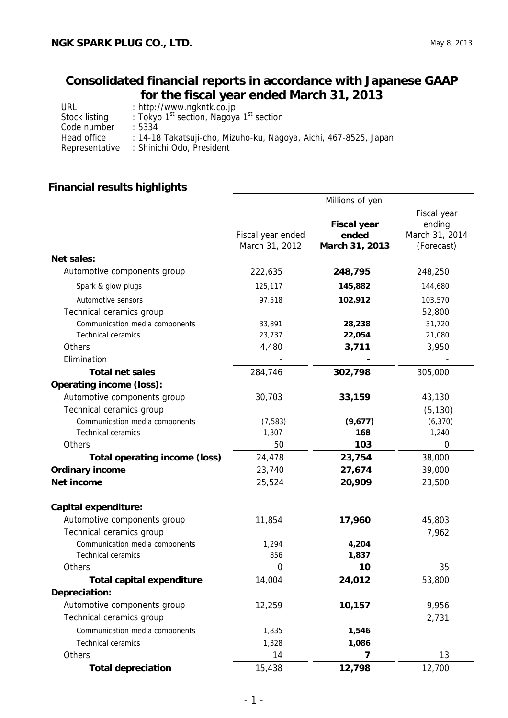## **Consolidated financial reports in accordance with Japanese GAAP for the fiscal year ended March 31, 2013**

| URL            | : http://www.ngkntk.co.jp                                        |
|----------------|------------------------------------------------------------------|
| Stock listing  | : Tokyo 1 <sup>st</sup> section, Nagoya 1 <sup>st</sup> section  |
| Code number    | : 5334                                                           |
| Head office    | : 14-18 Takatsuji-cho, Mizuho-ku, Nagoya, Aichi, 467-8525, Japan |
| Representative | : Shinichi Odo, President                                        |

## **Financial results highlights**

|                                      | Millions of yen                     |                                               |                                                       |  |  |
|--------------------------------------|-------------------------------------|-----------------------------------------------|-------------------------------------------------------|--|--|
|                                      | Fiscal year ended<br>March 31, 2012 | <b>Fiscal year</b><br>ended<br>March 31, 2013 | Fiscal year<br>ending<br>March 31, 2014<br>(Forecast) |  |  |
| <b>Net sales:</b>                    |                                     |                                               |                                                       |  |  |
| Automotive components group          | 222,635                             | 248,795                                       | 248,250                                               |  |  |
| Spark & glow plugs                   | 125,117                             | 145,882                                       | 144,680                                               |  |  |
| Automotive sensors                   | 97,518                              | 102,912                                       | 103,570                                               |  |  |
| Technical ceramics group             |                                     |                                               | 52,800                                                |  |  |
| Communication media components       | 33,891                              | 28,238                                        | 31,720                                                |  |  |
| <b>Technical ceramics</b>            | 23,737                              | 22,054                                        | 21,080                                                |  |  |
| Others                               | 4,480                               | 3,711                                         | 3,950                                                 |  |  |
| Elimination                          |                                     |                                               |                                                       |  |  |
| <b>Total net sales</b>               | 284,746                             | 302,798                                       | 305,000                                               |  |  |
| <b>Operating income (loss):</b>      |                                     |                                               |                                                       |  |  |
| Automotive components group          | 30,703                              | 33,159                                        | 43,130                                                |  |  |
| Technical ceramics group             |                                     |                                               | (5, 130)                                              |  |  |
| Communication media components       | (7, 583)                            | (9,677)                                       | (6, 370)                                              |  |  |
| <b>Technical ceramics</b>            | 1,307                               | 168                                           | 1,240                                                 |  |  |
| Others                               | 50                                  | 103                                           | 0                                                     |  |  |
| <b>Total operating income (loss)</b> | 24,478                              | 23,754                                        | 38,000                                                |  |  |
| <b>Ordinary income</b>               | 23,740                              | 27,674                                        | 39,000                                                |  |  |
| Net income                           | 25,524                              | 20,909                                        | 23,500                                                |  |  |
| <b>Capital expenditure:</b>          |                                     |                                               |                                                       |  |  |
| Automotive components group          | 11,854                              | 17,960                                        | 45,803                                                |  |  |
| Technical ceramics group             |                                     |                                               | 7,962                                                 |  |  |
| Communication media components       | 1,294                               | 4,204                                         |                                                       |  |  |
| <b>Technical ceramics</b>            | 856                                 | 1,837                                         |                                                       |  |  |
| Others                               | 0                                   | 10                                            | 35                                                    |  |  |
| <b>Total capital expenditure</b>     | 14,004                              | 24,012                                        | 53,800                                                |  |  |
| Depreciation:                        |                                     |                                               |                                                       |  |  |
| Automotive components group          | 12,259                              | 10,157                                        | 9,956                                                 |  |  |
| Technical ceramics group             |                                     |                                               | 2,731                                                 |  |  |
| Communication media components       | 1,835                               | 1,546                                         |                                                       |  |  |
| <b>Technical ceramics</b>            | 1,328                               | 1,086                                         |                                                       |  |  |
| Others                               | 14                                  | 7                                             | 13                                                    |  |  |
| <b>Total depreciation</b>            | 15,438                              | 12,798                                        | 12,700                                                |  |  |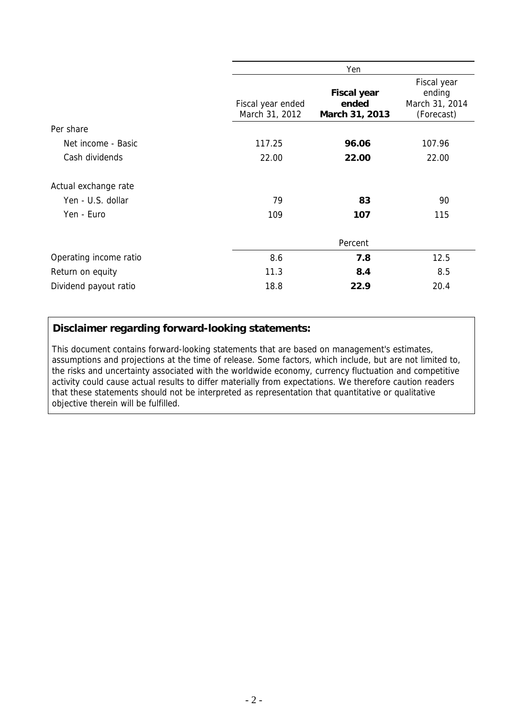|                        |                                     | Yen                                           |                                                       |
|------------------------|-------------------------------------|-----------------------------------------------|-------------------------------------------------------|
|                        | Fiscal year ended<br>March 31, 2012 | <b>Fiscal year</b><br>ended<br>March 31, 2013 | Fiscal year<br>ending<br>March 31, 2014<br>(Forecast) |
| Per share              |                                     |                                               |                                                       |
| Net income - Basic     | 117.25                              | 96.06                                         | 107.96                                                |
| Cash dividends         | 22.00                               | 22.00                                         | 22.00                                                 |
| Actual exchange rate   |                                     |                                               |                                                       |
| Yen - U.S. dollar      | 79                                  | 83                                            | 90                                                    |
| Yen - Euro             | 109                                 | 107                                           | 115                                                   |
|                        |                                     | Percent                                       |                                                       |
| Operating income ratio | 8.6                                 | 7.8                                           | 12.5                                                  |
| Return on equity       | 11.3                                | 8.4                                           | 8.5                                                   |
| Dividend payout ratio  | 18.8                                | 22.9                                          | 20.4                                                  |

### **Disclaimer regarding forward-looking statements:**

This document contains forward-looking statements that are based on management's estimates, assumptions and projections at the time of release. Some factors, which include, but are not limited to, the risks and uncertainty associated with the worldwide economy, currency fluctuation and competitive activity could cause actual results to differ materially from expectations. We therefore caution readers that these statements should not be interpreted as representation that quantitative or qualitative objective therein will be fulfilled.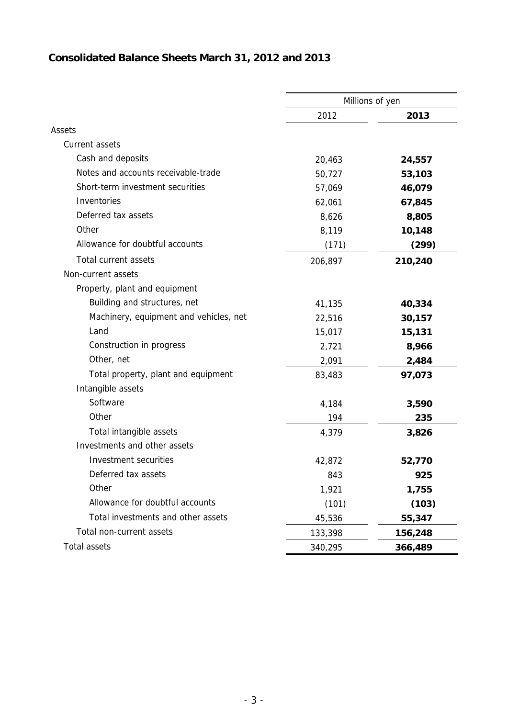# **Consolidated Balance Sheets March 31, 2012 and 2013**

|                                        |         | Millions of yen |
|----------------------------------------|---------|-----------------|
|                                        | 2012    | 2013            |
| Assets                                 |         |                 |
| Current assets                         |         |                 |
| Cash and deposits                      | 20,463  | 24,557          |
| Notes and accounts receivable-trade    | 50,727  | 53,103          |
| Short-term investment securities       | 57,069  | 46,079          |
| Inventories                            | 62,061  | 67,845          |
| Deferred tax assets                    | 8,626   | 8,805           |
| Other                                  | 8,119   | 10,148          |
| Allowance for doubtful accounts        | (171)   | (299)           |
| Total current assets                   | 206,897 | 210,240         |
| Non-current assets                     |         |                 |
| Property, plant and equipment          |         |                 |
| Building and structures, net           | 41,135  | 40,334          |
| Machinery, equipment and vehicles, net | 22,516  | 30,157          |
| Land                                   | 15,017  | 15,131          |
| Construction in progress               | 2,721   | 8,966           |
| Other, net                             | 2,091   | 2,484           |
| Total property, plant and equipment    | 83,483  | 97,073          |
| Intangible assets                      |         |                 |
| Software                               | 4,184   | 3,590           |
| Other                                  | 194     | 235             |
| Total intangible assets                | 4,379   | 3,826           |
| Investments and other assets           |         |                 |
| Investment securities                  | 42,872  | 52,770          |
| Deferred tax assets                    | 843     | 925             |
| Other                                  | 1,921   | 1,755           |
| Allowance for doubtful accounts        | (101)   | (103)           |
| Total investments and other assets     | 45,536  | 55,347          |
| Total non-current assets               | 133,398 | 156,248         |
| <b>Total assets</b>                    | 340,295 | 366,489         |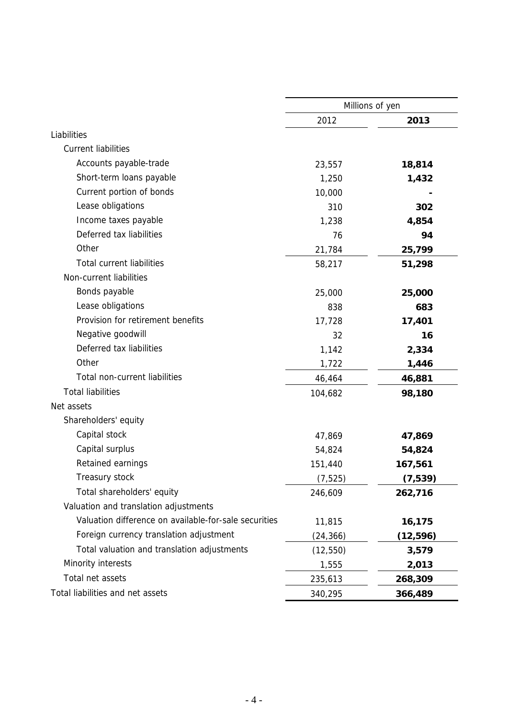|                                                       |           | Millions of yen |
|-------------------------------------------------------|-----------|-----------------|
|                                                       | 2012      | 2013            |
| Liabilities                                           |           |                 |
| <b>Current liabilities</b>                            |           |                 |
| Accounts payable-trade                                | 23,557    | 18,814          |
| Short-term loans payable                              | 1,250     | 1,432           |
| Current portion of bonds                              | 10,000    |                 |
| Lease obligations                                     | 310       | 302             |
| Income taxes payable                                  | 1,238     | 4,854           |
| Deferred tax liabilities                              | 76        | 94              |
| Other                                                 | 21,784    | 25,799          |
| <b>Total current liabilities</b>                      | 58,217    | 51,298          |
| Non-current liabilities                               |           |                 |
| Bonds payable                                         | 25,000    | 25,000          |
| Lease obligations                                     | 838       | 683             |
| Provision for retirement benefits                     | 17,728    | 17,401          |
| Negative goodwill                                     | 32        | 16              |
| Deferred tax liabilities                              | 1,142     | 2,334           |
| Other                                                 | 1,722     | 1,446           |
| Total non-current liabilities                         | 46,464    | 46,881          |
| <b>Total liabilities</b>                              | 104,682   | 98,180          |
| Net assets                                            |           |                 |
| Shareholders' equity                                  |           |                 |
| Capital stock                                         | 47,869    | 47,869          |
| Capital surplus                                       | 54,824    | 54,824          |
| Retained earnings                                     | 151,440   | 167,561         |
| Treasury stock                                        | (7, 525)  | (7,539)         |
| Total shareholders' equity                            | 246,609   | 262,716         |
| Valuation and translation adjustments                 |           |                 |
| Valuation difference on available-for-sale securities | 11,815    | 16,175          |
| Foreign currency translation adjustment               | (24, 366) | (12, 596)       |
| Total valuation and translation adjustments           | (12, 550) | 3,579           |
| Minority interests                                    | 1,555     | 2,013           |
| Total net assets                                      | 235,613   | 268,309         |
| Total liabilities and net assets                      | 340,295   | 366,489         |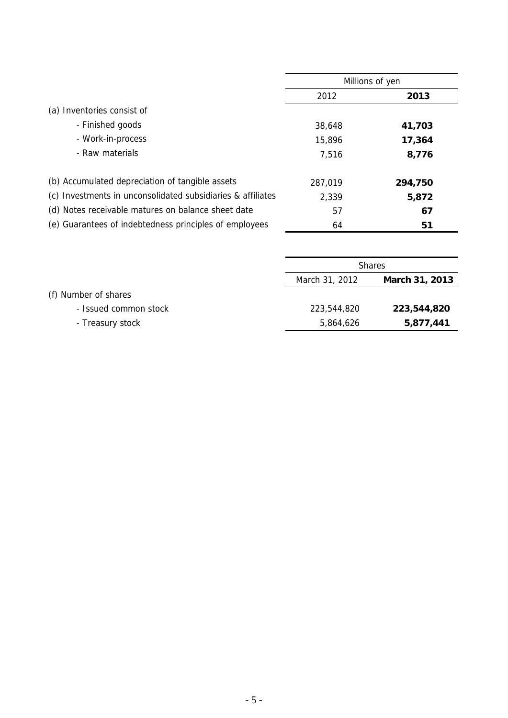|                                                             |         | Millions of yen |
|-------------------------------------------------------------|---------|-----------------|
|                                                             | 2012    | 2013            |
| (a) Inventories consist of                                  |         |                 |
| - Finished goods                                            | 38,648  | 41,703          |
| - Work-in-process                                           | 15,896  | 17,364          |
| - Raw materials                                             | 7,516   | 8,776           |
|                                                             |         |                 |
| (b) Accumulated depreciation of tangible assets             | 287,019 | 294,750         |
| (c) Investments in unconsolidated subsidiaries & affiliates | 2,339   | 5,872           |
| (d) Notes receivable matures on balance sheet date          | 57      | 67              |
| (e) Guarantees of indebtedness principles of employees      | 64      | 51              |

|                       |                | <b>Shares</b>  |
|-----------------------|----------------|----------------|
|                       | March 31, 2012 | March 31, 2013 |
| (f) Number of shares  |                |                |
| - Issued common stock | 223,544,820    | 223,544,820    |
| - Treasury stock      | 5,864,626      | 5,877,441      |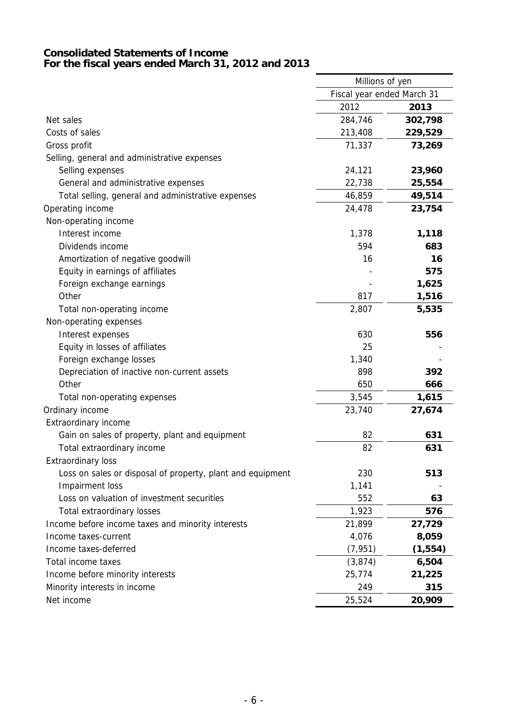#### **Consolidated Statements of Income For the fiscal years ended March 31, 2012 and 2013**

|                                                            | Millions of yen            |          |
|------------------------------------------------------------|----------------------------|----------|
|                                                            | Fiscal year ended March 31 |          |
|                                                            | 2012                       | 2013     |
| Net sales                                                  | 284,746                    | 302,798  |
| Costs of sales                                             | 213,408                    | 229,529  |
| Gross profit                                               | 71,337                     | 73,269   |
| Selling, general and administrative expenses               |                            |          |
| Selling expenses                                           | 24,121                     | 23,960   |
| General and administrative expenses                        | 22,738                     | 25,554   |
| Total selling, general and administrative expenses         | 46,859                     | 49,514   |
| Operating income                                           | 24,478                     | 23,754   |
| Non-operating income                                       |                            |          |
| Interest income                                            | 1,378                      | 1,118    |
| Dividends income                                           | 594                        | 683      |
| Amortization of negative goodwill                          | 16                         | 16       |
| Equity in earnings of affiliates                           |                            | 575      |
| Foreign exchange earnings                                  |                            | 1,625    |
| Other                                                      | 817                        | 1,516    |
| Total non-operating income                                 | 2,807                      | 5,535    |
| Non-operating expenses                                     |                            |          |
| Interest expenses                                          | 630                        | 556      |
| Equity in losses of affiliates                             | 25                         |          |
| Foreign exchange losses                                    | 1,340                      |          |
| Depreciation of inactive non-current assets                | 898                        | 392      |
| Other                                                      | 650                        | 666      |
| Total non-operating expenses                               | 3,545                      | 1,615    |
| Ordinary income                                            | 23,740                     | 27,674   |
| Extraordinary income                                       |                            |          |
| Gain on sales of property, plant and equipment             | 82                         | 631      |
| Total extraordinary income                                 | 82                         | 631      |
| <b>Extraordinary loss</b>                                  |                            |          |
| Loss on sales or disposal of property, plant and equipment | 230                        | 513      |
| Impairment loss                                            | 1,141                      |          |
| Loss on valuation of investment securities                 | 552                        | 63       |
| <b>Total extraordinary losses</b>                          | 1,923                      | 576      |
| Income before income taxes and minority interests          | 21,899                     | 27,729   |
| Income taxes-current                                       | 4,076                      | 8,059    |
| Income taxes-deferred                                      | (7, 951)                   | (1, 554) |
| Total income taxes                                         | (3, 874)                   | 6,504    |
| Income before minority interests                           | 25,774                     | 21,225   |
| Minority interests in income                               | 249                        | 315      |
| Net income                                                 | 25,524                     | 20,909   |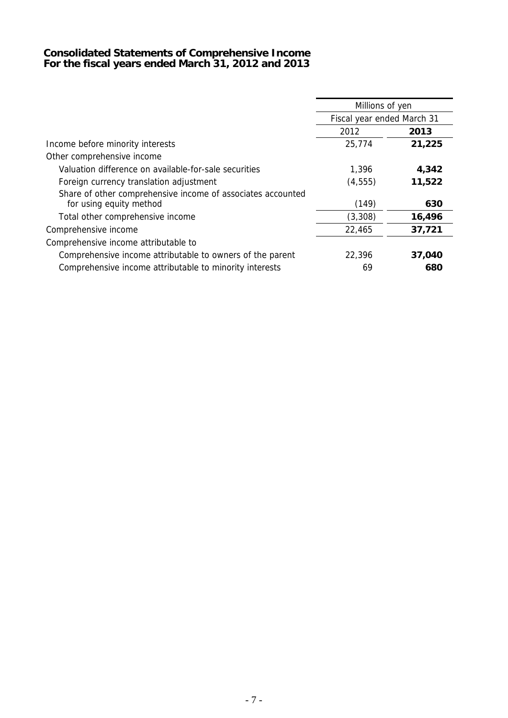#### **Consolidated Statements of Comprehensive Income For the fiscal years ended March 31, 2012 and 2013**

|                                                                                        | Millions of yen            |        |  |  |
|----------------------------------------------------------------------------------------|----------------------------|--------|--|--|
|                                                                                        | Fiscal year ended March 31 |        |  |  |
|                                                                                        | 2012                       | 2013   |  |  |
| Income before minority interests                                                       | 25,774                     | 21,225 |  |  |
| Other comprehensive income                                                             |                            |        |  |  |
| Valuation difference on available-for-sale securities                                  | 1,396                      | 4,342  |  |  |
| Foreign currency translation adjustment                                                | (4, 555)                   | 11,522 |  |  |
| Share of other comprehensive income of associates accounted<br>for using equity method | (149)                      | 630    |  |  |
| Total other comprehensive income                                                       | (3,308)                    | 16,496 |  |  |
| Comprehensive income                                                                   | 22,465                     | 37,721 |  |  |
| Comprehensive income attributable to                                                   |                            |        |  |  |
| Comprehensive income attributable to owners of the parent                              | 22,396                     | 37,040 |  |  |
| Comprehensive income attributable to minority interests                                | 69                         | 680    |  |  |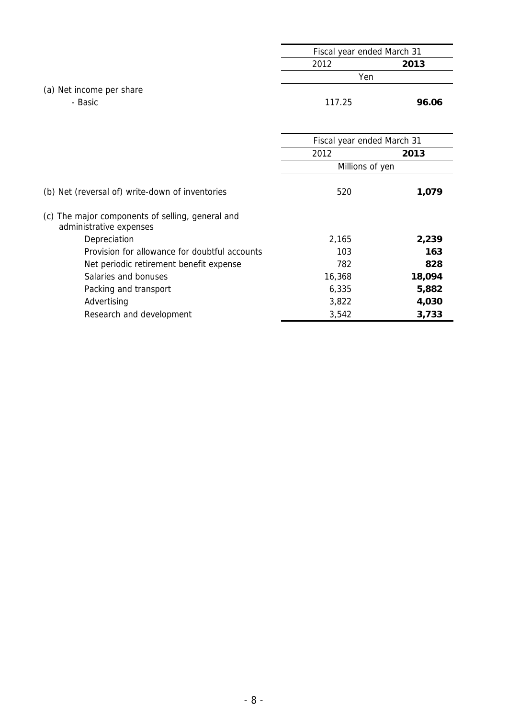|                          | Fiscal year ended March 31 |       |
|--------------------------|----------------------------|-------|
|                          | 2012                       | 2013  |
|                          | Yen                        |       |
| (a) Net income per share |                            |       |
| - Basic                  | 117.25                     | 96.06 |
|                          |                            |       |

|                                                                             | Fiscal year ended March 31<br>2012<br>2013<br>Millions of yen<br>520<br>2,165<br>103<br>782<br>16,368<br>6,335 |        |
|-----------------------------------------------------------------------------|----------------------------------------------------------------------------------------------------------------|--------|
|                                                                             |                                                                                                                |        |
|                                                                             |                                                                                                                |        |
| (b) Net (reversal of) write-down of inventories                             |                                                                                                                | 1,079  |
| (c) The major components of selling, general and<br>administrative expenses |                                                                                                                |        |
| Depreciation                                                                |                                                                                                                | 2,239  |
| Provision for allowance for doubtful accounts                               |                                                                                                                | 163    |
| Net periodic retirement benefit expense                                     |                                                                                                                | 828    |
| Salaries and bonuses                                                        |                                                                                                                | 18,094 |
| Packing and transport                                                       |                                                                                                                | 5,882  |
| Advertising                                                                 | 3,822                                                                                                          | 4,030  |
| Research and development                                                    | 3,542                                                                                                          | 3,733  |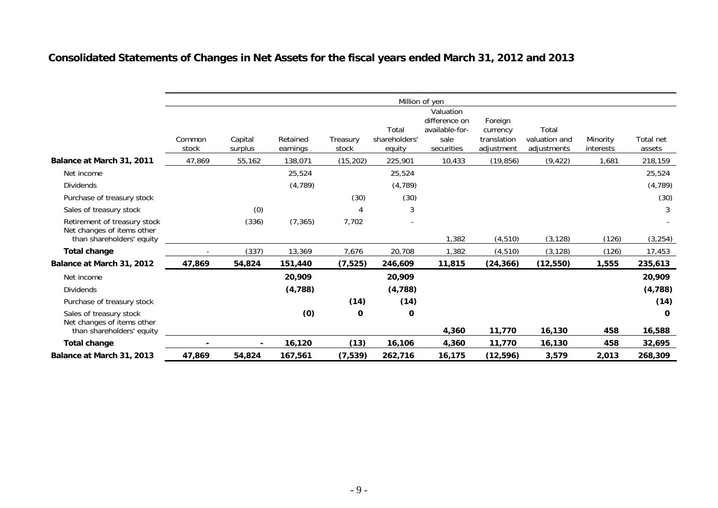# **Consolidated Statements of Changes in Net Assets for the fiscal years ended March 31, 2012 and 2013**

|                                                            | Million of yen  |         |          |                |               |                    |             |               |           |             |
|------------------------------------------------------------|-----------------|---------|----------|----------------|---------------|--------------------|-------------|---------------|-----------|-------------|
|                                                            |                 |         |          |                |               | Valuation          |             |               |           |             |
|                                                            |                 |         |          |                |               | difference on      | Foreign     |               |           |             |
|                                                            |                 |         |          |                | Total         | available-for-     | currency    | Total         |           |             |
|                                                            | Common<br>stock | Capital | Retained | Treasury       | shareholders' | sale<br>securities | translation | valuation and | Minority  | Total net   |
|                                                            |                 | surplus | earnings | stock          | equity        |                    | adjustment  | adjustments   | interests | assets      |
| Balance at March 31, 2011                                  | 47,869          | 55,162  | 138,071  | (15, 202)      | 225,901       | 10,433             | (19, 856)   | (9, 422)      | 1,681     | 218,159     |
| Net income                                                 |                 |         | 25,524   |                | 25,524        |                    |             |               |           | 25,524      |
| <b>Dividends</b>                                           |                 |         | (4, 789) |                | (4,789)       |                    |             |               |           | (4, 789)    |
| Purchase of treasury stock                                 |                 |         |          | (30)           | (30)          |                    |             |               |           | (30)        |
| Sales of treasury stock                                    |                 | (0)     |          | $\overline{4}$ | 3             |                    |             |               |           | 3           |
| Retirement of treasury stock<br>Net changes of items other |                 | (336)   | (7, 365) | 7,702          |               |                    |             |               |           |             |
| than shareholders' equity                                  |                 |         |          |                |               | 1,382              | (4, 510)    | (3, 128)      | (126)     | (3, 254)    |
| Total change                                               |                 | (337)   | 13,369   | 7,676          | 20,708        | 1,382              | (4, 510)    | (3, 128)      | (126)     | 17,453      |
| Balance at March 31, 2012                                  | 47,869          | 54,824  | 151,440  | (7, 525)       | 246,609       | 11,815             | (24, 366)   | (12, 550)     | 1,555     | 235,613     |
| Net income                                                 |                 |         | 20,909   |                | 20,909        |                    |             |               |           | 20,909      |
| <b>Dividends</b>                                           |                 |         | (4, 788) |                | (4,788)       |                    |             |               |           | (4, 788)    |
| Purchase of treasury stock                                 |                 |         |          | (14)           | (14)          |                    |             |               |           | (14)        |
| Sales of treasury stock<br>Net changes of items other      |                 |         | (0)      | 0              | 0             |                    |             |               |           | $\mathbf 0$ |
| than shareholders' equity                                  |                 |         |          |                |               | 4,360              | 11,770      | 16,130        | 458       | 16,588      |
| <b>Total change</b>                                        |                 |         | 16,120   | (13)           | 16,106        | 4,360              | 11,770      | 16,130        | 458       | 32,695      |
| Balance at March 31, 2013                                  | 47,869          | 54,824  | 167,561  | (7, 539)       | 262,716       | 16,175             | (12, 596)   | 3,579         | 2,013     | 268,309     |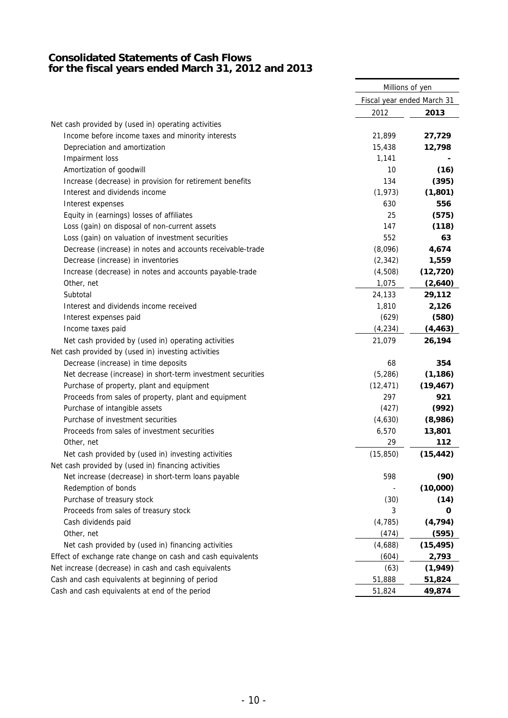#### **Consolidated Statements of Cash Flows for the fiscal years ended March 31, 2012 and 2013**

|                                                             | Millions of yen            |           |
|-------------------------------------------------------------|----------------------------|-----------|
|                                                             | Fiscal year ended March 31 |           |
|                                                             | 2012                       | 2013      |
| Net cash provided by (used in) operating activities         |                            |           |
| Income before income taxes and minority interests           | 21,899                     | 27,729    |
| Depreciation and amortization                               | 15,438                     | 12,798    |
| Impairment loss                                             | 1,141                      |           |
| Amortization of goodwill                                    | 10                         | (16)      |
| Increase (decrease) in provision for retirement benefits    | 134                        | (395)     |
| Interest and dividends income                               | (1, 973)                   | (1,801)   |
| Interest expenses                                           | 630                        | 556       |
| Equity in (earnings) losses of affiliates                   | 25                         | (575)     |
| Loss (gain) on disposal of non-current assets               | 147                        | (118)     |
| Loss (gain) on valuation of investment securities           | 552                        | 63        |
| Decrease (increase) in notes and accounts receivable-trade  | (8,096)                    | 4,674     |
| Decrease (increase) in inventories                          | (2, 342)                   | 1,559     |
| Increase (decrease) in notes and accounts payable-trade     | (4,508)                    | (12, 720) |
| Other, net                                                  | 1,075                      | (2,640)   |
| Subtotal                                                    | 24,133                     | 29,112    |
| Interest and dividends income received                      | 1,810                      | 2,126     |
| Interest expenses paid                                      | (629)                      | (580)     |
| Income taxes paid                                           | (4, 234)                   | (4, 463)  |
| Net cash provided by (used in) operating activities         | 21,079                     | 26,194    |
| Net cash provided by (used in) investing activities         |                            |           |
| Decrease (increase) in time deposits                        | 68                         | 354       |
| Net decrease (increase) in short-term investment securities | (5, 286)                   | (1, 186)  |
| Purchase of property, plant and equipment                   | (12, 471)                  | (19, 467) |
| Proceeds from sales of property, plant and equipment        | 297                        | 921       |
| Purchase of intangible assets                               | (427)                      | (992)     |
| Purchase of investment securities                           | (4,630)                    | (8,986)   |
| Proceeds from sales of investment securities                | 6,570                      | 13,801    |
| Other, net                                                  | 29                         | 112       |
| Net cash provided by (used in) investing activities         | (15, 850)                  | (15, 442) |
| Net cash provided by (used in) financing activities         |                            |           |
| Net increase (decrease) in short-term loans payable         | 598                        | (90)      |
| Redemption of bonds                                         |                            | (10,000)  |
| Purchase of treasury stock                                  | (30)                       | (14)      |
| Proceeds from sales of treasury stock                       | 3                          | 0         |
| Cash dividends paid                                         | (4, 785)                   | (4, 794)  |
| Other, net                                                  | (474)                      | (595)     |
| Net cash provided by (used in) financing activities         | (4,688)                    | (15, 495) |
| Effect of exchange rate change on cash and cash equivalents | (604)                      | 2,793     |
| Net increase (decrease) in cash and cash equivalents        | (63)                       | (1,949)   |
| Cash and cash equivalents at beginning of period            | 51,888                     | 51,824    |
| Cash and cash equivalents at end of the period              | 51,824                     | 49,874    |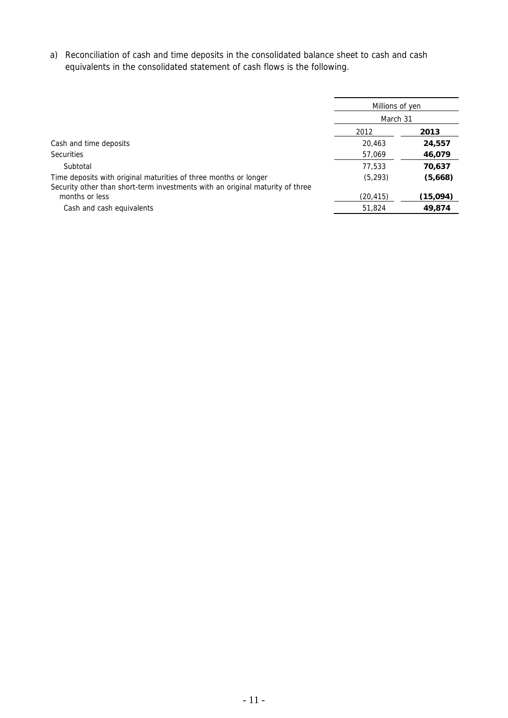a) Reconciliation of cash and time deposits in the consolidated balance sheet to cash and cash equivalents in the consolidated statement of cash flows is the following.

|                                                                                                                                                   | Millions of yen |          |  |  |
|---------------------------------------------------------------------------------------------------------------------------------------------------|-----------------|----------|--|--|
|                                                                                                                                                   | March 31        |          |  |  |
|                                                                                                                                                   | 2012            | 2013     |  |  |
| Cash and time deposits                                                                                                                            | 20,463          | 24,557   |  |  |
| <b>Securities</b>                                                                                                                                 | 57,069          | 46,079   |  |  |
| Subtotal                                                                                                                                          | 77,533          | 70,637   |  |  |
| Time deposits with original maturities of three months or longer<br>Security other than short-term investments with an original maturity of three | (5, 293)        | (5,668)  |  |  |
| months or less                                                                                                                                    | (20,415)        | (15,094) |  |  |
| Cash and cash equivalents                                                                                                                         | 51,824          | 49,874   |  |  |
|                                                                                                                                                   |                 |          |  |  |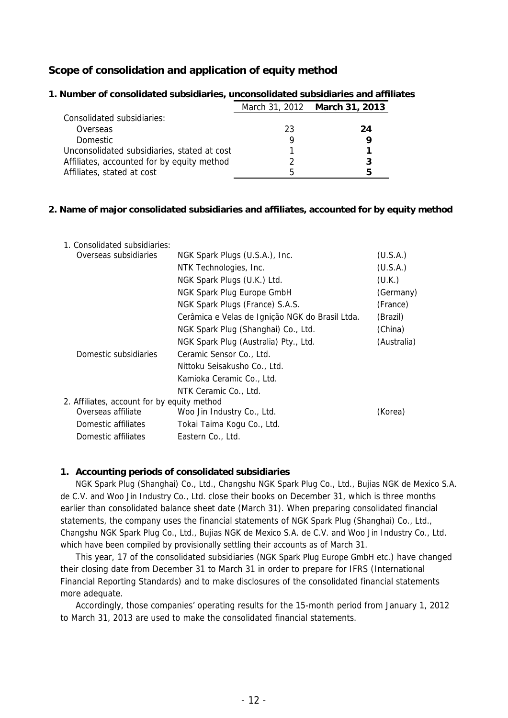### **Scope of consolidation and application of equity method**

|                                             |    | March 31, 2012 March 31, 2013 |
|---------------------------------------------|----|-------------------------------|
| Consolidated subsidiaries:                  |    |                               |
| Overseas                                    | 23 | 24                            |
| <b>Domestic</b>                             |    |                               |
| Unconsolidated subsidiaries, stated at cost |    |                               |
| Affiliates, accounted for by equity method  |    |                               |
| Affiliates, stated at cost                  | h  | 5                             |

#### **1. Number of consolidated subsidiaries, unconsolidated subsidiaries and affiliates**

#### **2. Name of major consolidated subsidiaries and affiliates, accounted for by equity method**

| 1. Consolidated subsidiaries:               |                                                 |             |  |  |  |
|---------------------------------------------|-------------------------------------------------|-------------|--|--|--|
| Overseas subsidiaries                       | NGK Spark Plugs (U.S.A.), Inc.                  | (U.S.A.)    |  |  |  |
|                                             | NTK Technologies, Inc.                          | (U.S.A.)    |  |  |  |
|                                             | NGK Spark Plugs (U.K.) Ltd.                     | (U.K.)      |  |  |  |
|                                             | NGK Spark Plug Europe GmbH                      | (Germany)   |  |  |  |
|                                             | NGK Spark Plugs (France) S.A.S.                 | (France)    |  |  |  |
|                                             | Cerâmica e Velas de Ignição NGK do Brasil Ltda. | (Brazil)    |  |  |  |
|                                             | NGK Spark Plug (Shanghai) Co., Ltd.             | (China)     |  |  |  |
|                                             | NGK Spark Plug (Australia) Pty., Ltd.           | (Australia) |  |  |  |
| Domestic subsidiaries                       | Ceramic Sensor Co., Ltd.                        |             |  |  |  |
|                                             | Nittoku Seisakusho Co., Ltd.                    |             |  |  |  |
|                                             | Kamioka Ceramic Co., Ltd.                       |             |  |  |  |
|                                             | NTK Ceramic Co., Ltd.                           |             |  |  |  |
| 2. Affiliates, account for by equity method |                                                 |             |  |  |  |
| Overseas affiliate                          | Woo Jin Industry Co., Ltd.                      | (Korea)     |  |  |  |
| Domestic affiliates                         | Tokai Taima Kogu Co., Ltd.                      |             |  |  |  |
| Domestic affiliates                         | Eastern Co., Ltd.                               |             |  |  |  |

#### **1. Accounting periods of consolidated subsidiaries**

NGK Spark Plug (Shanghai) Co., Ltd., Changshu NGK Spark Plug Co., Ltd., Bujias NGK de Mexico S.A. de C.V. and Woo Jin Industry Co., Ltd. close their books on December 31, which is three months earlier than consolidated balance sheet date (March 31). When preparing consolidated financial statements, the company uses the financial statements of NGK Spark Plug (Shanghai) Co., Ltd., Changshu NGK Spark Plug Co., Ltd., Bujias NGK de Mexico S.A. de C.V. and Woo Jin Industry Co., Ltd. which have been compiled by provisionally settling their accounts as of March 31.

This year, 17 of the consolidated subsidiaries (NGK Spark Plug Europe GmbH etc.) have changed their closing date from December 31 to March 31 in order to prepare for IFRS (International Financial Reporting Standards) and to make disclosures of the consolidated financial statements more adequate.

Accordingly, those companies' operating results for the 15-month period from January 1, 2012 to March 31, 2013 are used to make the consolidated financial statements.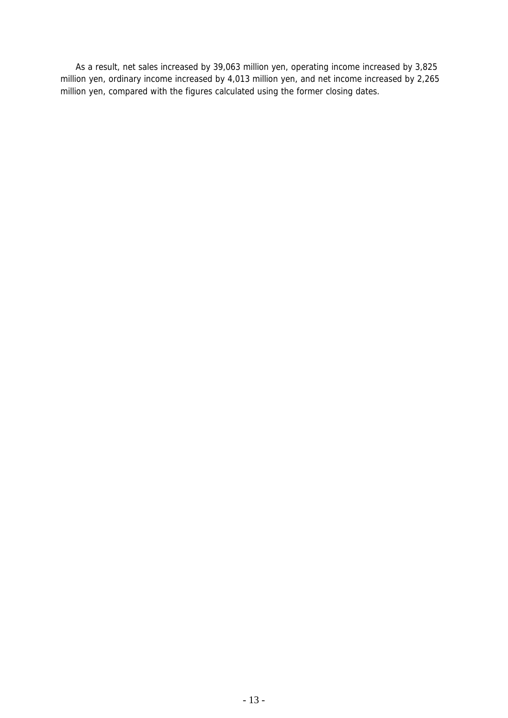As a result, net sales increased by 39,063 million yen, operating income increased by 3,825 million yen, ordinary income increased by 4,013 million yen, and net income increased by 2,265 million yen, compared with the figures calculated using the former closing dates.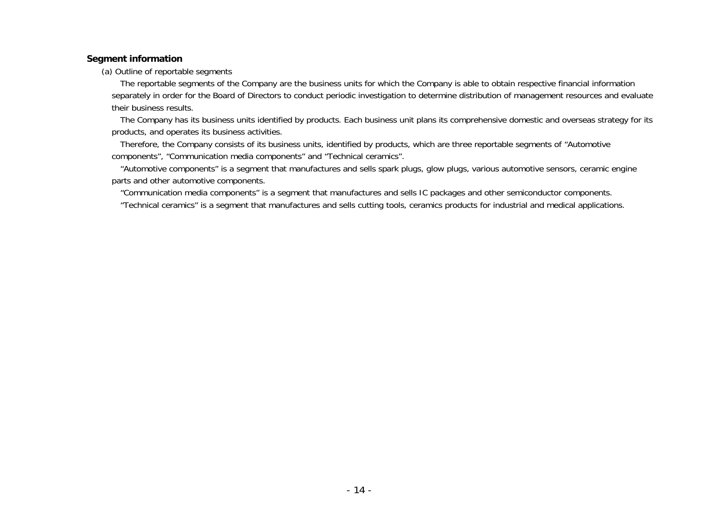#### **Segment information**

(a) Outline of reportable segments

The reportable segments of the Company are the business units for which the Company is able to obtain respective financial information separately in order for the Board of Directors to conduct periodic investigation to determine distribution of management resources and evaluate their business results.

The Company has its business units identified by products. Each business unit plans its comprehensive domestic and overseas strategy for its products, and operates its business activities.

Therefore, the Company consists of its business units, identified by products, which are three reportable segments of "Automotive components", "Communication media components" and "Technical ceramics".

"Automotive components" is a segment that manufactures and sells spark plugs, glow plugs, various automotive sensors, ceramic engine parts and other automotive components.

"Communication media components" is a segment that manufactures and sells IC packages and other semiconductor components.

"Technical ceramics" is a segment that manufactures and sells cutting tools, ceramics products for industrial and medical applications.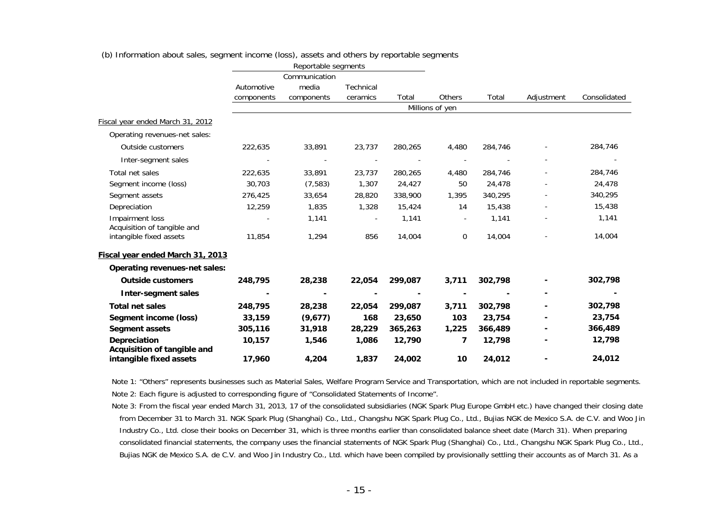|                                                        | Reportable segments<br>Communication |            |                          |         |                 |                        |            |              |
|--------------------------------------------------------|--------------------------------------|------------|--------------------------|---------|-----------------|------------------------|------------|--------------|
|                                                        |                                      |            |                          |         |                 |                        |            |              |
|                                                        | Automotive                           | media      | Technical                |         |                 | <b>Others</b><br>Total | Adjustment | Consolidated |
|                                                        | components                           | components | ceramics                 | Total   |                 |                        |            |              |
|                                                        |                                      |            |                          |         | Millions of yen |                        |            |              |
| Fiscal year ended March 31, 2012                       |                                      |            |                          |         |                 |                        |            |              |
| Operating revenues-net sales:                          |                                      |            |                          |         |                 |                        |            |              |
| Outside customers                                      | 222,635                              | 33,891     | 23,737                   | 280,265 | 4,480           | 284,746                |            | 284,746      |
| Inter-segment sales                                    |                                      |            |                          |         |                 |                        |            |              |
| Total net sales                                        | 222,635                              | 33,891     | 23,737                   | 280,265 | 4,480           | 284,746                |            | 284,746      |
| Segment income (loss)                                  | 30,703                               | (7, 583)   | 1,307                    | 24,427  | 50              | 24,478                 |            | 24,478       |
| Segment assets                                         | 276,425                              | 33,654     | 28,820                   | 338,900 | 1,395           | 340,295                |            | 340,295      |
| Depreciation                                           | 12,259                               | 1,835      | 1,328                    | 15,424  | 14              | 15,438                 |            | 15,438       |
| Impairment loss<br>Acquisition of tangible and         |                                      | 1,141      | $\overline{\phantom{a}}$ | 1,141   | $\blacksquare$  | 1,141                  |            | 1,141        |
| intangible fixed assets                                | 11,854                               | 1,294      | 856                      | 14,004  | $\mathbf 0$     | 14,004                 |            | 14,004       |
| Fiscal year ended March 31, 2013                       |                                      |            |                          |         |                 |                        |            |              |
| Operating revenues-net sales:                          |                                      |            |                          |         |                 |                        |            |              |
| <b>Outside customers</b>                               | 248,795                              | 28,238     | 22,054                   | 299,087 | 3,711           | 302,798                |            | 302,798      |
| <b>Inter-segment sales</b>                             |                                      |            |                          |         |                 |                        |            |              |
| <b>Total net sales</b>                                 | 248,795                              | 28,238     | 22,054                   | 299,087 | 3,711           | 302,798                |            | 302,798      |
| Segment income (loss)                                  | 33,159                               | (9,677)    | 168                      | 23,650  | 103             | 23,754                 |            | 23,754       |
| <b>Segment assets</b>                                  | 305,116                              | 31,918     | 28,229                   | 365,263 | 1,225           | 366,489                |            | 366,489      |
| <b>Depreciation</b>                                    | 10,157                               | 1,546      | 1,086                    | 12,790  | 7               | 12,798                 |            | 12,798       |
| Acquisition of tangible and<br>intangible fixed assets | 17,960                               | 4,204      | 1,837                    | 24,002  | 10              | 24,012                 |            | 24,012       |

(b) Information about sales, segment income (loss), assets and others by reportable segments

Note 1: "Others" represents businesses such as Material Sales, Welfare Program Service and Transportation, which are not included in reportable segments. Note 2: Each figure is adjusted to corresponding figure of "Consolidated Statements of Income".

Note 3: From the fiscal year ended March 31, 2013, 17 of the consolidated subsidiaries (NGK Spark Plug Europe GmbH etc.) have changed their closing date from December 31 to March 31. NGK Spark Plug (Shanghai) Co., Ltd., Changshu NGK Spark Plug Co., Ltd., Bujias NGK de Mexico S.A. de C.V. and Woo Jin Industry Co., Ltd. close their books on December 31, which is three months earlier than consolidated balance sheet date (March 31). When preparing consolidated financial statements, the company uses the financial statements of NGK Spark Plug (Shanghai) Co., Ltd., Changshu NGK Spark Plug Co., Ltd., Bujias NGK de Mexico S.A. de C.V. and Woo Jin Industry Co., Ltd. which have been compiled by provisionally settling their accounts as of March 31. As a